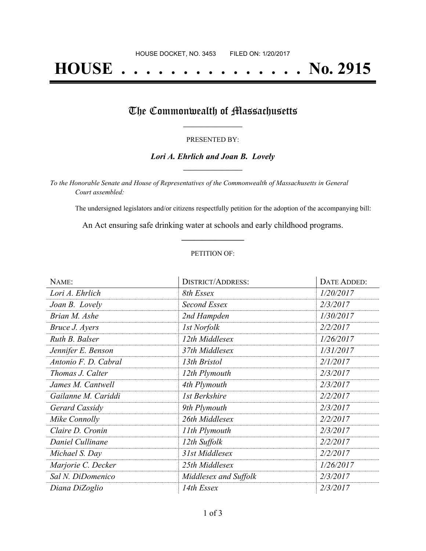# **HOUSE . . . . . . . . . . . . . . . No. 2915**

## The Commonwealth of Massachusetts

#### PRESENTED BY:

#### *Lori A. Ehrlich and Joan B. Lovely* **\_\_\_\_\_\_\_\_\_\_\_\_\_\_\_\_\_**

*To the Honorable Senate and House of Representatives of the Commonwealth of Massachusetts in General Court assembled:*

The undersigned legislators and/or citizens respectfully petition for the adoption of the accompanying bill:

An Act ensuring safe drinking water at schools and early childhood programs. **\_\_\_\_\_\_\_\_\_\_\_\_\_\_\_**

#### PETITION OF:

| NAME:                | <b>DISTRICT/ADDRESS:</b> | DATE ADDED: |
|----------------------|--------------------------|-------------|
| Lori A. Ehrlich      | 8th Essex                | 1/20/2017   |
| Joan B. Lovely       | Second Essex             | 2/3/2017    |
| Brian M. Ashe        | 2nd Hampden              | 1/30/2017   |
| Bruce J. Ayers       | <i>Ist Norfolk</i>       | 2/2/2017    |
| Ruth B. Balser       | 12th Middlesex           | 1/26/2017   |
| Jennifer E. Benson   | 37th Middlesex           | 1/31/2017   |
| Antonio F. D. Cabral | 13th Bristol             | 2/1/2017    |
| Thomas J. Calter     | 12th Plymouth            | 2/3/2017    |
| James M. Cantwell    | 4th Plymouth             | 2/3/2017    |
| Gailanne M. Cariddi  | 1st Berkshire            | 2/2/2017    |
| Gerard Cassidy       | 9th Plymouth             | 2/3/2017    |
| Mike Connolly        | 26th Middlesex           | 2/2/2017    |
| Claire D. Cronin     | 11th Plymouth            | 2/3/2017    |
| Daniel Cullinane     | 12th Suffolk             | 2/2/2017    |
| Michael S. Day       | 31st Middlesex           | 2/2/2017    |
| Marjorie C. Decker   | 25th Middlesex           | 1/26/2017   |
| Sal N. DiDomenico    | Middlesex and Suffolk    | 2/3/2017    |
| Diana DiZoglio       | 14th Essex               | 2/3/2017    |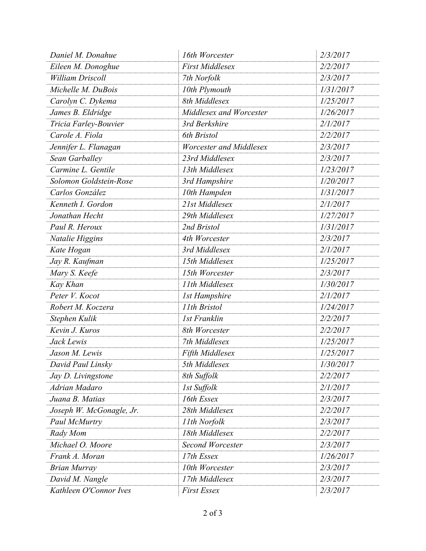| Daniel M. Donahue        | 16th Worcester          | 2/3/2017  |
|--------------------------|-------------------------|-----------|
| Eileen M. Donoghue       | <b>First Middlesex</b>  | 2/2/2017  |
| <b>William Driscoll</b>  | 7th Norfolk             | 2/3/2017  |
| Michelle M. DuBois       | 10th Plymouth           | 1/31/2017 |
| Carolyn C. Dykema        | 8th Middlesex           | 1/25/2017 |
| James B. Eldridge        | Middlesex and Worcester | 1/26/2017 |
| Tricia Farley-Bouvier    | 3rd Berkshire           | 2/1/2017  |
| Carole A. Fiola          | 6th Bristol             | 2/2/2017  |
| Jennifer L. Flanagan     | Worcester and Middlesex | 2/3/2017  |
| Sean Garballey           | 23rd Middlesex          | 2/3/2017  |
| Carmine L. Gentile       | 13th Middlesex          | 1/23/2017 |
| Solomon Goldstein-Rose   | 3rd Hampshire           | 1/20/2017 |
| Carlos González          | 10th Hampden            | 1/31/2017 |
| Kenneth I. Gordon        | 21st Middlesex          | 2/1/2017  |
| Jonathan Hecht           | 29th Middlesex          | 1/27/2017 |
| Paul R. Heroux           | 2nd Bristol             | 1/31/2017 |
| Natalie Higgins          | 4th Worcester           | 2/3/2017  |
| Kate Hogan               | 3rd Middlesex           | 2/1/2017  |
| Jay R. Kaufman           | 15th Middlesex          | 1/25/2017 |
| Mary S. Keefe            | 15th Worcester          | 2/3/2017  |
| Kay Khan                 | 11th Middlesex          | 1/30/2017 |
| Peter V. Kocot           | <b>1st Hampshire</b>    | 2/1/2017  |
| Robert M. Koczera        | 11th Bristol            | 1/24/2017 |
| Stephen Kulik            | <b>1st Franklin</b>     | 2/2/2017  |
| Kevin J. Kuros           | 8th Worcester           | 2/2/2017  |
| Jack Lewis               | 7th Middlesex           | 1/25/2017 |
| Jason M. Lewis           | Fifth Middlesex         | 1/25/2017 |
| David Paul Linsky        | 5th Middlesex           | 1/30/2017 |
| Jay D. Livingstone       | 8th Suffolk             | 2/2/2017  |
| Adrian Madaro            | 1st Suffolk             | 2/1/2017  |
| Juana B. Matias          | 16th Essex              | 2/3/2017  |
| Joseph W. McGonagle, Jr. | 28th Middlesex          | 2/2/2017  |
| Paul McMurtry            | 11th Norfolk            | 2/3/2017  |
| Rady Mom                 | 18th Middlesex          | 2/2/2017  |
| Michael O. Moore         | <b>Second Worcester</b> | 2/3/2017  |
| Frank A. Moran           | 17th Essex              | 1/26/2017 |
| <b>Brian Murray</b>      | 10th Worcester          | 2/3/2017  |
| David M. Nangle          | 17th Middlesex          | 2/3/2017  |
| Kathleen O'Connor Ives   | <b>First Essex</b>      | 2/3/2017  |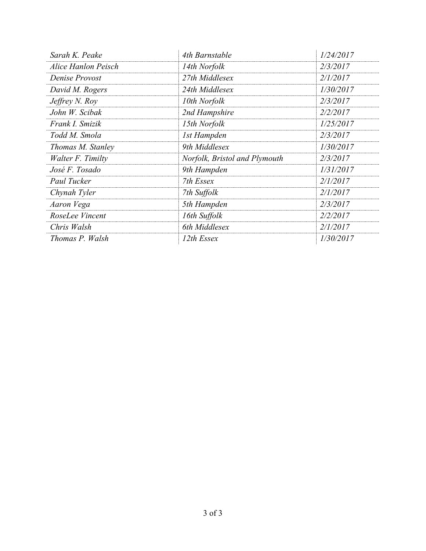| Sarah K. Peake      | 4th Barnstable                | 1/24/2017 |
|---------------------|-------------------------------|-----------|
| Alice Hanlon Peisch | 14th Norfolk                  | 2/3/2017  |
| Denise Provost      | 27th Middlesex                | 2/1/2017  |
| David M. Rogers     | 24th Middlesex                | 1/30/2017 |
| Jeffrey N. Roy      | 10th Norfolk                  | 2/3/2017  |
| John W. Scibak      | 2nd Hampshire                 | 2/2/2017  |
| Frank I. Smizik     | 15th Norfolk                  | 1/25/2017 |
| Todd M. Smola       | 1st Hampden                   | 2/3/2017  |
| Thomas M. Stanley   | 9th Middlesex                 | 1/30/2017 |
| Walter F. Timilty   | Norfolk, Bristol and Plymouth | 2/3/2017  |
| José F. Tosado      | 9th Hampden                   | 1/31/2017 |
| Paul Tucker         | 7th Essex                     | 2/1/2017  |
| Chynah Tyler        | 7th Suffolk                   | 2/1/2017  |
| Aaron Vega          | 5th Hampden                   | 2/3/2017  |
| RoseLee Vincent     | 16th Suffolk                  | 2/2/2017  |
| Chris Walsh         | 6th Middlesex                 | 2/1/2017  |
| Thomas P. Walsh     | 12th Essex                    | 1/30/2017 |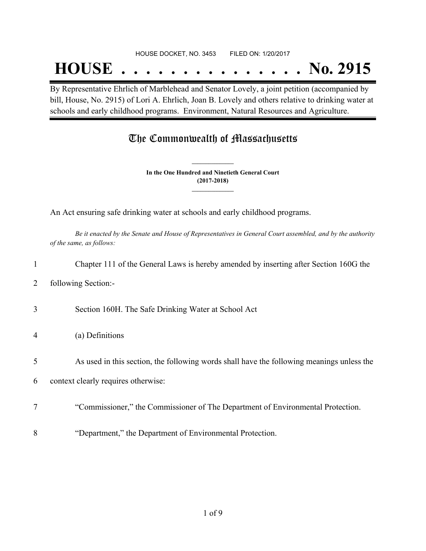#### HOUSE DOCKET, NO. 3453 FILED ON: 1/20/2017

## **HOUSE . . . . . . . . . . . . . . . No. 2915**

By Representative Ehrlich of Marblehead and Senator Lovely, a joint petition (accompanied by bill, House, No. 2915) of Lori A. Ehrlich, Joan B. Lovely and others relative to drinking water at schools and early childhood programs. Environment, Natural Resources and Agriculture.

## The Commonwealth of Massachusetts

**In the One Hundred and Ninetieth General Court (2017-2018) \_\_\_\_\_\_\_\_\_\_\_\_\_\_\_**

**\_\_\_\_\_\_\_\_\_\_\_\_\_\_\_**

An Act ensuring safe drinking water at schools and early childhood programs.

Be it enacted by the Senate and House of Representatives in General Court assembled, and by the authority *of the same, as follows:*

|                | Chapter 111 of the General Laws is hereby amended by inserting after Section 160G the     |
|----------------|-------------------------------------------------------------------------------------------|
| 2              | following Section:-                                                                       |
| 3              | Section 160H. The Safe Drinking Water at School Act                                       |
| $\overline{4}$ | (a) Definitions                                                                           |
| 5              | As used in this section, the following words shall have the following meanings unless the |
| 6              | context clearly requires otherwise:                                                       |
|                | "Commissioner," the Commissioner of The Department of Environmental Protection.           |
| 8              | "Department," the Department of Environmental Protection.                                 |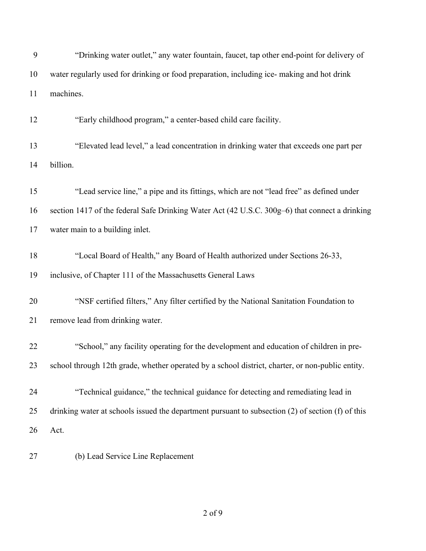| 9  | "Drinking water outlet," any water fountain, faucet, tap other end-point for delivery of          |
|----|---------------------------------------------------------------------------------------------------|
| 10 | water regularly used for drinking or food preparation, including ice- making and hot drink        |
| 11 | machines.                                                                                         |
| 12 | "Early childhood program," a center-based child care facility.                                    |
| 13 | "Elevated lead level," a lead concentration in drinking water that exceeds one part per           |
| 14 | billion.                                                                                          |
| 15 | "Lead service line," a pipe and its fittings, which are not "lead free" as defined under          |
| 16 | section 1417 of the federal Safe Drinking Water Act (42 U.S.C. 300g–6) that connect a drinking    |
| 17 | water main to a building inlet.                                                                   |
| 18 | "Local Board of Health," any Board of Health authorized under Sections 26-33,                     |
| 19 | inclusive, of Chapter 111 of the Massachusetts General Laws                                       |
| 20 | "NSF certified filters," Any filter certified by the National Sanitation Foundation to            |
| 21 | remove lead from drinking water.                                                                  |
| 22 | "School," any facility operating for the development and education of children in pre-            |
| 23 | school through 12th grade, whether operated by a school district, charter, or non-public entity.  |
| 24 | "Technical guidance," the technical guidance for detecting and remediating lead in                |
| 25 | drinking water at schools issued the department pursuant to subsection (2) of section (f) of this |
| 26 | Act.                                                                                              |
| 27 | (b) Lead Service Line Replacement                                                                 |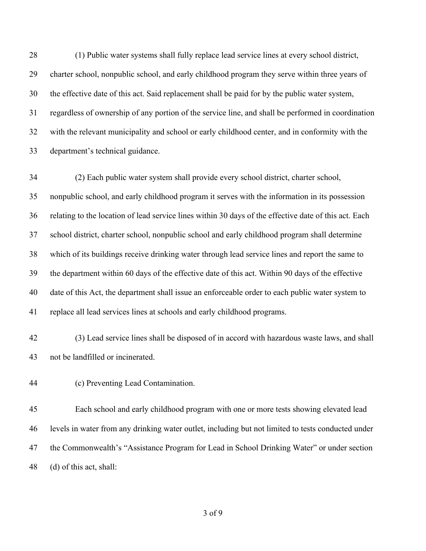(1) Public water systems shall fully replace lead service lines at every school district, charter school, nonpublic school, and early childhood program they serve within three years of the effective date of this act. Said replacement shall be paid for by the public water system, regardless of ownership of any portion of the service line, and shall be performed in coordination with the relevant municipality and school or early childhood center, and in conformity with the department's technical guidance.

 (2) Each public water system shall provide every school district, charter school, nonpublic school, and early childhood program it serves with the information in its possession relating to the location of lead service lines within 30 days of the effective date of this act. Each school district, charter school, nonpublic school and early childhood program shall determine which of its buildings receive drinking water through lead service lines and report the same to the department within 60 days of the effective date of this act. Within 90 days of the effective date of this Act, the department shall issue an enforceable order to each public water system to replace all lead services lines at schools and early childhood programs.

 (3) Lead service lines shall be disposed of in accord with hazardous waste laws, and shall not be landfilled or incinerated.

(c) Preventing Lead Contamination.

 Each school and early childhood program with one or more tests showing elevated lead levels in water from any drinking water outlet, including but not limited to tests conducted under the Commonwealth's "Assistance Program for Lead in School Drinking Water" or under section (d) of this act, shall: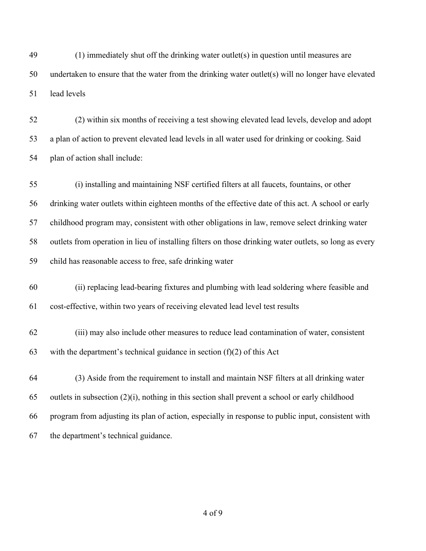(1) immediately shut off the drinking water outlet(s) in question until measures are undertaken to ensure that the water from the drinking water outlet(s) will no longer have elevated lead levels

 (2) within six months of receiving a test showing elevated lead levels, develop and adopt a plan of action to prevent elevated lead levels in all water used for drinking or cooking. Said plan of action shall include:

 (i) installing and maintaining NSF certified filters at all faucets, fountains, or other drinking water outlets within eighteen months of the effective date of this act. A school or early childhood program may, consistent with other obligations in law, remove select drinking water outlets from operation in lieu of installing filters on those drinking water outlets, so long as every child has reasonable access to free, safe drinking water

 (ii) replacing lead-bearing fixtures and plumbing with lead soldering where feasible and cost-effective, within two years of receiving elevated lead level test results

 (iii) may also include other measures to reduce lead contamination of water, consistent 63 with the department's technical guidance in section  $(f)(2)$  of this Act

 (3) Aside from the requirement to install and maintain NSF filters at all drinking water 65 outlets in subsection  $(2)(i)$ , nothing in this section shall prevent a school or early childhood program from adjusting its plan of action, especially in response to public input, consistent with the department's technical guidance.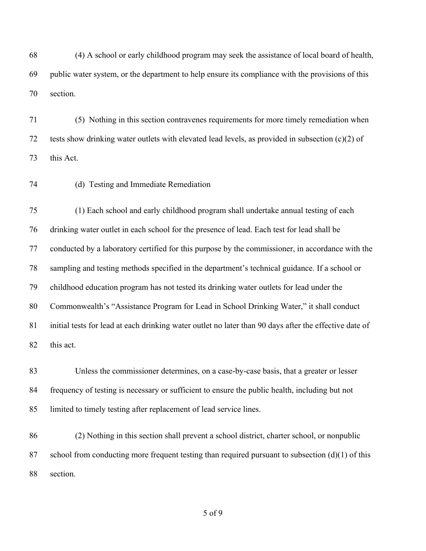(4) A school or early childhood program may seek the assistance of local board of health, public water system, or the department to help ensure its compliance with the provisions of this section.

 (5) Nothing in this section contravenes requirements for more timely remediation when tests show drinking water outlets with elevated lead levels, as provided in subsection (c)(2) of this Act.

(d) Testing and Immediate Remediation

 (1) Each school and early childhood program shall undertake annual testing of each drinking water outlet in each school for the presence of lead. Each test for lead shall be conducted by a laboratory certified for this purpose by the commissioner, in accordance with the sampling and testing methods specified in the department's technical guidance. If a school or childhood education program has not tested its drinking water outlets for lead under the Commonwealth's "Assistance Program for Lead in School Drinking Water," it shall conduct initial tests for lead at each drinking water outlet no later than 90 days after the effective date of this act.

 Unless the commissioner determines, on a case-by-case basis, that a greater or lesser frequency of testing is necessary or sufficient to ensure the public health, including but not limited to timely testing after replacement of lead service lines.

 (2) Nothing in this section shall prevent a school district, charter school, or nonpublic 87 school from conducting more frequent testing than required pursuant to subsection  $(d)(1)$  of this section.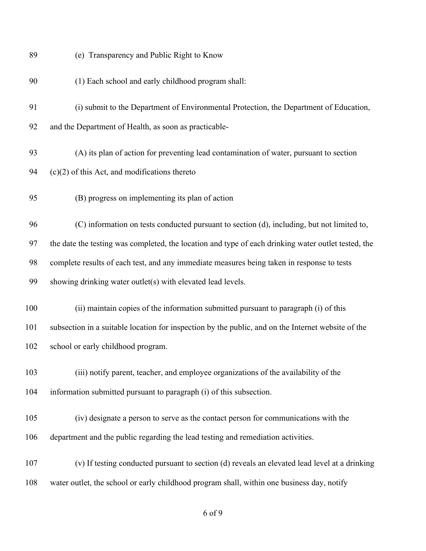| 89  | (e) Transparency and Public Right to Know                                                           |
|-----|-----------------------------------------------------------------------------------------------------|
| 90  | (1) Each school and early childhood program shall:                                                  |
| 91  | (i) submit to the Department of Environmental Protection, the Department of Education,              |
| 92  | and the Department of Health, as soon as practicable-                                               |
| 93  | (A) its plan of action for preventing lead contamination of water, pursuant to section              |
| 94  | $(c)(2)$ of this Act, and modifications thereto                                                     |
| 95  | (B) progress on implementing its plan of action                                                     |
| 96  | (C) information on tests conducted pursuant to section (d), including, but not limited to,          |
| 97  | the date the testing was completed, the location and type of each drinking water outlet tested, the |
| 98  | complete results of each test, and any immediate measures being taken in response to tests          |
| 99  | showing drinking water outlet(s) with elevated lead levels.                                         |
| 100 | (ii) maintain copies of the information submitted pursuant to paragraph (i) of this                 |
| 101 | subsection in a suitable location for inspection by the public, and on the Internet website of the  |
| 102 | school or early childhood program.                                                                  |
| 103 | (iii) notify parent, teacher, and employee organizations of the availability of the                 |
| 104 | information submitted pursuant to paragraph (i) of this subsection.                                 |
| 105 | (iv) designate a person to serve as the contact person for communications with the                  |
| 106 | department and the public regarding the lead testing and remediation activities.                    |
| 107 | (v) If testing conducted pursuant to section (d) reveals an elevated lead level at a drinking       |
| 108 | water outlet, the school or early childhood program shall, within one business day, notify          |
|     |                                                                                                     |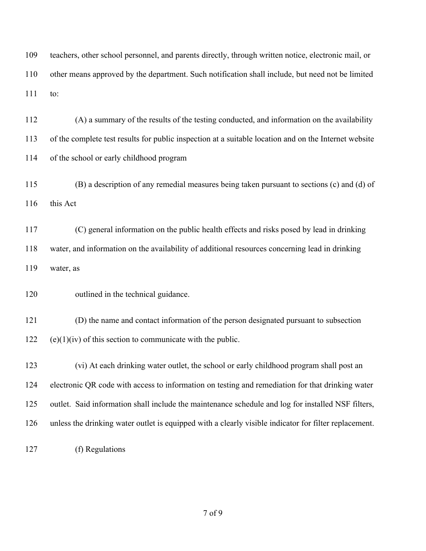teachers, other school personnel, and parents directly, through written notice, electronic mail, or other means approved by the department. Such notification shall include, but need not be limited to:

 (A) a summary of the results of the testing conducted, and information on the availability of the complete test results for public inspection at a suitable location and on the Internet website of the school or early childhood program

 (B) a description of any remedial measures being taken pursuant to sections (c) and (d) of 116 this Act

 (C) general information on the public health effects and risks posed by lead in drinking water, and information on the availability of additional resources concerning lead in drinking water, as

120 outlined in the technical guidance.

 (D) the name and contact information of the person designated pursuant to subsection 122 (e)(1)(iv) of this section to communicate with the public.

 (vi) At each drinking water outlet, the school or early childhood program shall post an 124 electronic QR code with access to information on testing and remediation for that drinking water outlet. Said information shall include the maintenance schedule and log for installed NSF filters, unless the drinking water outlet is equipped with a clearly visible indicator for filter replacement.

(f) Regulations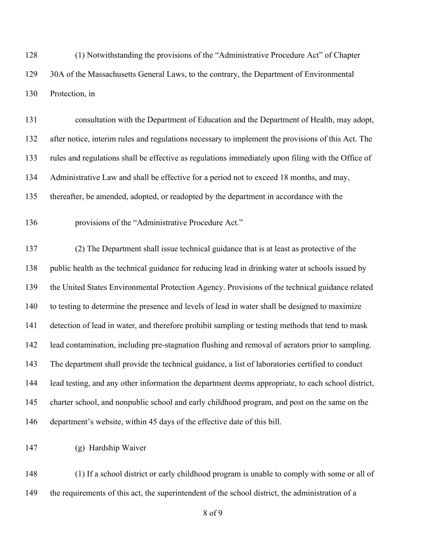(1) Notwithstanding the provisions of the "Administrative Procedure Act" of Chapter 129 30A of the Massachusetts General Laws, to the contrary, the Department of Environmental Protection, in

 consultation with the Department of Education and the Department of Health, may adopt, after notice, interim rules and regulations necessary to implement the provisions of this Act. The rules and regulations shall be effective as regulations immediately upon filing with the Office of Administrative Law and shall be effective for a period not to exceed 18 months, and may, thereafter, be amended, adopted, or readopted by the department in accordance with the

provisions of the "Administrative Procedure Act."

 (2) The Department shall issue technical guidance that is at least as protective of the public health as the technical guidance for reducing lead in drinking water at schools issued by the United States Environmental Protection Agency. Provisions of the technical guidance related to testing to determine the presence and levels of lead in water shall be designed to maximize detection of lead in water, and therefore prohibit sampling or testing methods that tend to mask lead contamination, including pre-stagnation flushing and removal of aerators prior to sampling. The department shall provide the technical guidance, a list of laboratories certified to conduct lead testing, and any other information the department deems appropriate, to each school district, charter school, and nonpublic school and early childhood program, and post on the same on the department's website, within 45 days of the effective date of this bill.

(g) Hardship Waiver

 (1) If a school district or early childhood program is unable to comply with some or all of the requirements of this act, the superintendent of the school district, the administration of a